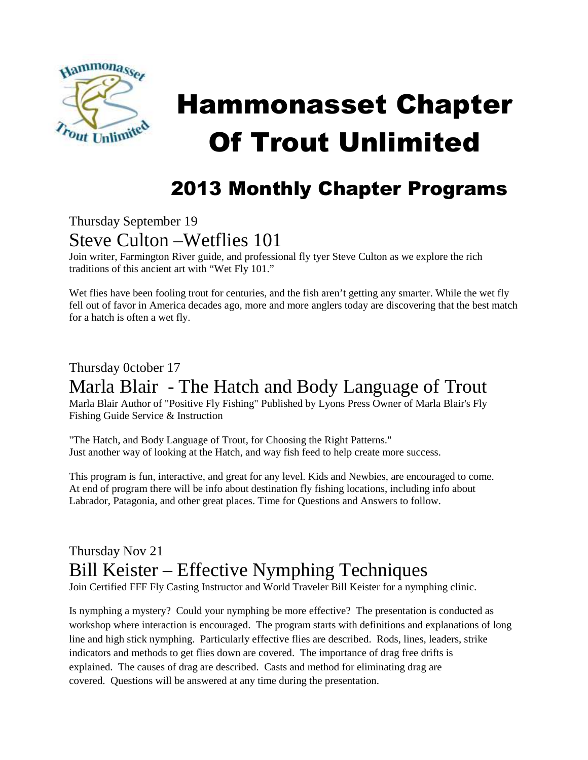

# Hammonasset Chapter Of Trout Unlimited

### 2013 Monthly Chapter Programs

Thursday September 19 Steve Culton –Wetflies 101

Join writer, Farmington River guide, and professional fly tyer Steve Culton as we explore the rich traditions of this ancient art with "Wet Fly 101."

Wet flies have been fooling trout for centuries, and the fish aren't getting any smarter. While the wet fly fell out of favor in America decades ago, more and more anglers today are discovering that the best match for a hatch is often a wet fly.

Thursday 0ctober 17

#### Marla Blair - The Hatch and Body Language of Trout

Marla Blair Author of "Positive Fly Fishing" Published by Lyons Press Owner of Marla Blair's Fly Fishing Guide Service & Instruction

"The Hatch, and Body Language of Trout, for Choosing the Right Patterns." Just another way of looking at the Hatch, and way fish feed to help create more success.

This program is fun, interactive, and great for any level. Kids and Newbies, are encouraged to come. At end of program there will be info about destination fly fishing locations, including info about Labrador, Patagonia, and other great places. Time for Questions and Answers to follow.

#### Thursday Nov 21 Bill Keister – Effective Nymphing Techniques

Join Certified FFF Fly Casting Instructor and World Traveler Bill Keister for a nymphing clinic.

Is nymphing a mystery? Could your nymphing be more effective? The presentation is conducted as workshop where interaction is encouraged. The program starts with definitions and explanations of long line and high stick nymphing. Particularly effective flies are described. Rods, lines, leaders, strike indicators and methods to get flies down are covered. The importance of drag free drifts is explained. The causes of drag are described. Casts and method for eliminating drag are covered. Questions will be answered at any time during the presentation.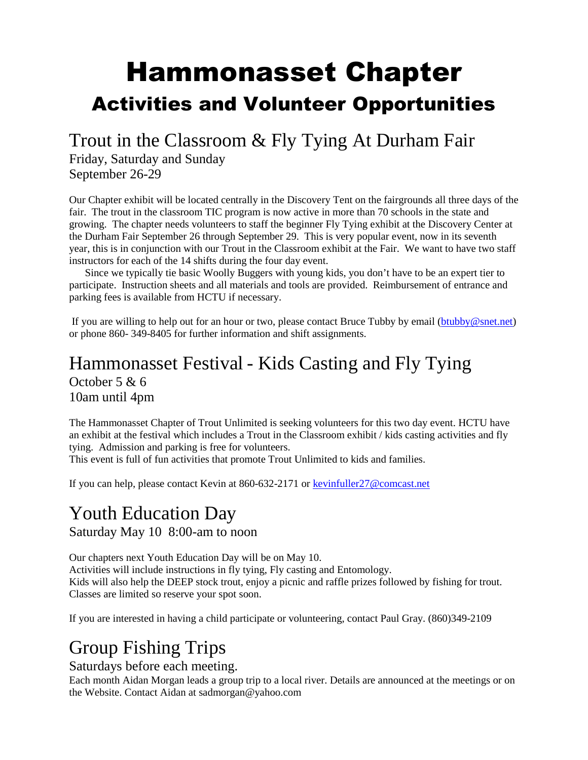## Hammonasset Chapter Activities and Volunteer Opportunities

#### Trout in the Classroom & Fly Tying At Durham Fair

Friday, Saturday and Sunday September 26-29

Our Chapter exhibit will be located centrally in the Discovery Tent on the fairgrounds all three days of the fair. The trout in the classroom TIC program is now active in more than 70 schools in the state and growing. The chapter needs volunteers to staff the beginner Fly Tying exhibit at the Discovery Center at the Durham Fair September 26 through September 29. This is very popular event, now in its seventh year, this is in conjunction with our Trout in the Classroom exhibit at the Fair. We want to have two staff instructors for each of the 14 shifts during the four day event.

 Since we typically tie basic Woolly Buggers with young kids, you don't have to be an expert tier to participate. Instruction sheets and all materials and tools are provided. Reimbursement of entrance and parking fees is available from HCTU if necessary.

 If you are willing to help out for an hour or two, please contact Bruce Tubby by email (btubby@snet.net) or phone 860- 349-8405 for further information and shift assignments.

#### Hammonasset Festival - Kids Casting and Fly Tying October 5 & 6 10am until 4pm

The Hammonasset Chapter of Trout Unlimited is seeking volunteers for this two day event. HCTU have an exhibit at the festival which includes a Trout in the Classroom exhibit / kids casting activities and fly tying. Admission and parking is free for volunteers.

This event is full of fun activities that promote Trout Unlimited to kids and families.

If you can help, please contact Kevin at 860-632-2171 or kevinfuller27@comcast.net

#### Youth Education Day

Saturday May 10 8:00-am to noon

Our chapters next Youth Education Day will be on May 10. Activities will include instructions in fly tying, Fly casting and Entomology. Kids will also help the DEEP stock trout, enjoy a picnic and raffle prizes followed by fishing for trout. Classes are limited so reserve your spot soon.

If you are interested in having a child participate or volunteering, contact Paul Gray. (860)349-2109

#### Group Fishing Trips

Saturdays before each meeting.

Each month Aidan Morgan leads a group trip to a local river. Details are announced at the meetings or on the Website. Contact Aidan at sadmorgan@yahoo.com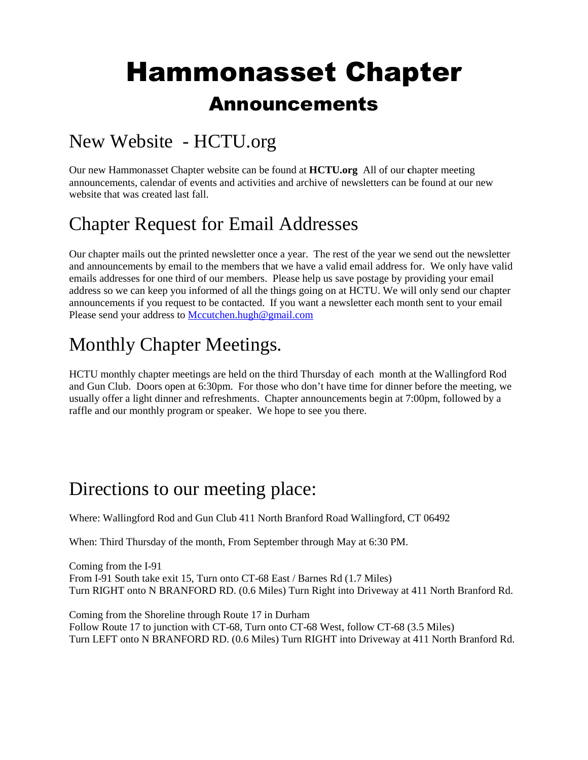### Hammonasset Chapter Announcements

#### New Website - HCTU.org

Our new Hammonasset Chapter website can be found at **HCTU.org** All of our **c**hapter meeting announcements, calendar of events and activities and archive of newsletters can be found at our new website that was created last fall.

#### Chapter Request for Email Addresses

Our chapter mails out the printed newsletter once a year. The rest of the year we send out the newsletter and announcements by email to the members that we have a valid email address for. We only have valid emails addresses for one third of our members. Please help us save postage by providing your email address so we can keep you informed of all the things going on at HCTU. We will only send our chapter announcements if you request to be contacted. If you want a newsletter each month sent to your email Please send your address to **Mccutchen.hugh@gmail.com** 

#### Monthly Chapter Meetings.

HCTU monthly chapter meetings are held on the third Thursday of each month at the Wallingford Rod and Gun Club. Doors open at 6:30pm. For those who don't have time for dinner before the meeting, we usually offer a light dinner and refreshments. Chapter announcements begin at 7:00pm, followed by a raffle and our monthly program or speaker. We hope to see you there.

#### Directions to our meeting place:

Where: Wallingford Rod and Gun Club 411 North Branford Road Wallingford, CT 06492

When: Third Thursday of the month, From September through May at 6:30 PM.

Coming from the I-91 From I-91 South take exit 15, Turn onto CT-68 East / Barnes Rd (1.7 Miles) Turn RIGHT onto N BRANFORD RD. (0.6 Miles) Turn Right into Driveway at 411 North Branford Rd.

Coming from the Shoreline through Route 17 in Durham Follow Route 17 to junction with CT-68, Turn onto CT-68 West, follow CT-68 (3.5 Miles) Turn LEFT onto N BRANFORD RD. (0.6 Miles) Turn RIGHT into Driveway at 411 North Branford Rd.